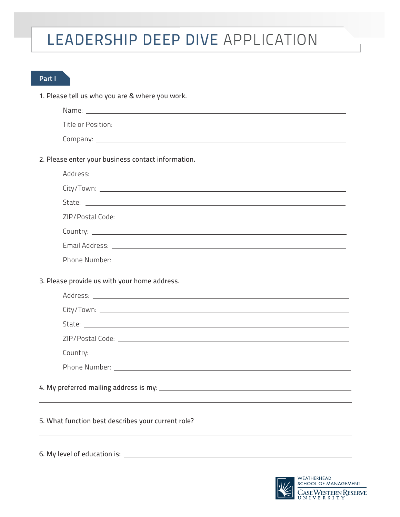## LEADERSHIP DEEP DIVE APPLICATION

## Part I

1. Please tell us who you are & where you work.

| Name: <u>the community of the community of the community of the community of the community of the community of the community of the community of the community of the community of the community of the community of the communi</u> |
|--------------------------------------------------------------------------------------------------------------------------------------------------------------------------------------------------------------------------------------|
|                                                                                                                                                                                                                                      |
|                                                                                                                                                                                                                                      |
| 2. Please enter your business contact information.                                                                                                                                                                                   |
|                                                                                                                                                                                                                                      |
|                                                                                                                                                                                                                                      |
|                                                                                                                                                                                                                                      |
|                                                                                                                                                                                                                                      |
|                                                                                                                                                                                                                                      |
|                                                                                                                                                                                                                                      |
| Phone Number: National Accounts and Accounts and Accounts and Accounts and Accounts and Accounts and                                                                                                                                 |
| 3. Please provide us with your home address.                                                                                                                                                                                         |
|                                                                                                                                                                                                                                      |
|                                                                                                                                                                                                                                      |
|                                                                                                                                                                                                                                      |
|                                                                                                                                                                                                                                      |
|                                                                                                                                                                                                                                      |
|                                                                                                                                                                                                                                      |
| 5. What function best describes your current role? _____________________________                                                                                                                                                     |
|                                                                                                                                                                                                                                      |

6. My level of education is:

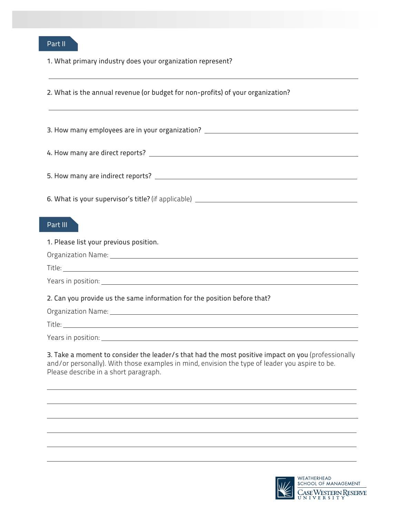

 $\overline{a}$ 

1. What primary industry does your organization represent?

2. What is the annual revenue (or budget for non-profits) of your organization?  $\overline{a}$ 3. How many employees are in your organization? 4. How many are direct reports? 5. How many are indirect reports? 6. What is your supervisor's title? (if applicable) Part III 1. Please list your previous position. Organization Name: Title: Years in position: 2. Can you provide us the same information for the position before that? Organization Name: Title: Years in position: 3. Take a moment to consider the leader/s that had the most positive impact on you (professionally and/or personally). With those examples in mind, envision the type of leader you aspire to be. Please describe in a short paragraph.  $\overline{a}$ 



 $\overline{\phantom{0}}$ 

 $\overline{a}$ 

 $\overline{a}$ 

 $\overline{\phantom{0}}$ 

 $\overline{a}$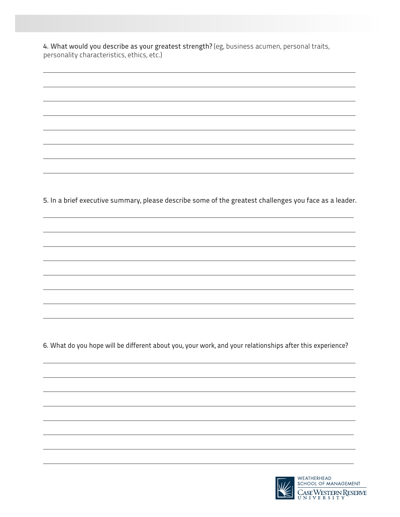4. What would you describe as your greatest strength? (eg, business acumen, personal traits, personality characteristics, ethics, etc.)

 $\overline{a}$ 

 $\overline{a}$ 

 $\overline{a}$ 

 $\overline{a}$ 

 $\overline{a}$ 

 $\overline{a}$ 

 $\overline{a}$ 

 $\overline{a}$ 

5. In a brief executive summary, please describe some of the greatest challenges you face as a leader.

6. What do you hope will be different about you, your work, and your relationships after this experience?